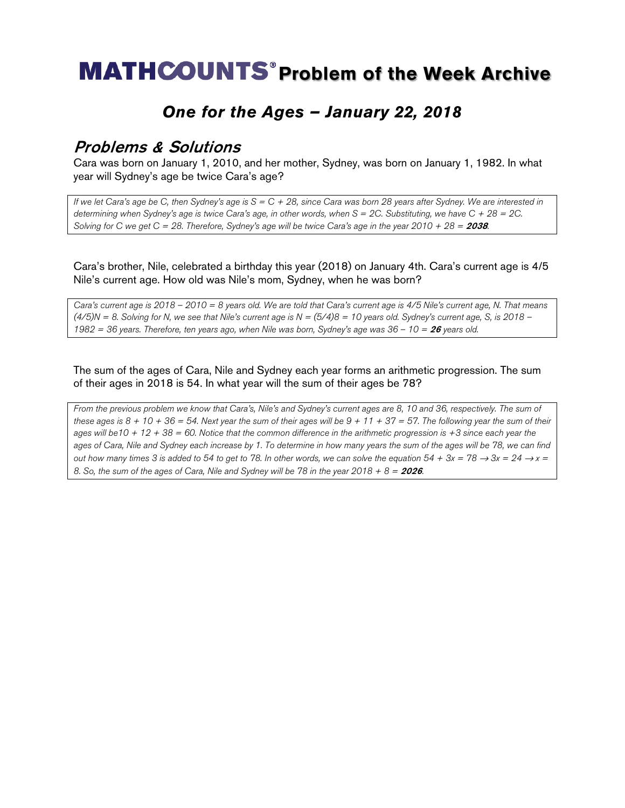## **MATHCOUNTS<sup>®</sup> Problem of the Week Archive**

### *One for the Ages – January 22, 2018*

#### Problems & Solutions

Cara was born on January 1, 2010, and her mother, Sydney, was born on January 1, 1982. In what year will Sydney's age be twice Cara's age?

*If we let Cara's age be C, then Sydney's age is S = C + 28, since Cara was born 28 years after Sydney. We are interested in determining when Sydney's age is twice Cara's age, in other words, when S = 2C. Substituting, we have C + 28 = 2C. Solving for C we get C = 28. Therefore, Sydney's age will be twice Cara's age in the year 2010 + 28 =* 2038*.*

Cara's brother, Nile, celebrated a birthday this year (2018) on January 4th. Cara's current age is 4/5 Nile's current age. How old was Nile's mom, Sydney, when he was born?

*Cara's current age is 2018 – 2010 = 8 years old. We are told that Cara's current age is 4/5 Nile's current age, N. That means (4/5)N = 8. Solving for N, we see that Nile's current age is N = (5/4)8 = 10 years old. Sydney's current age, S, is 2018 – 1982 = 36 years. Therefore, ten years ago, when Nile was born, Sydney's age was 36 – 10 =* <sup>26</sup> *years old.*

The sum of the ages of Cara, Nile and Sydney each year forms an arithmetic progression. The sum of their ages in 2018 is 54. In what year will the sum of their ages be 78?

*From the previous problem we know that Cara's, Nile's and Sydney's current ages are 8, 10 and 36, respectively. The sum of these ages is 8 + 10 + 36 = 54. Next year the sum of their ages will be 9 + 11 + 37 = 57. The following year the sum of their ages will be10 + 12 + 38 = 60. Notice that the common difference in the arithmetic progression is +3 since each year the ages of Cara, Nile and Sydney each increase by 1. To determine in how many years the sum of the ages will be 78, we can find out how many times 3 is added to 54 to get to 78. In other words, we can solve the equation*  $54 + 3x = 78 \rightarrow 3x = 24 \rightarrow x = 1$ 8. So, the sum of the ages of Cara, Nile and Sydney will be 78 in the year  $2018 + 8 = 2026$ .